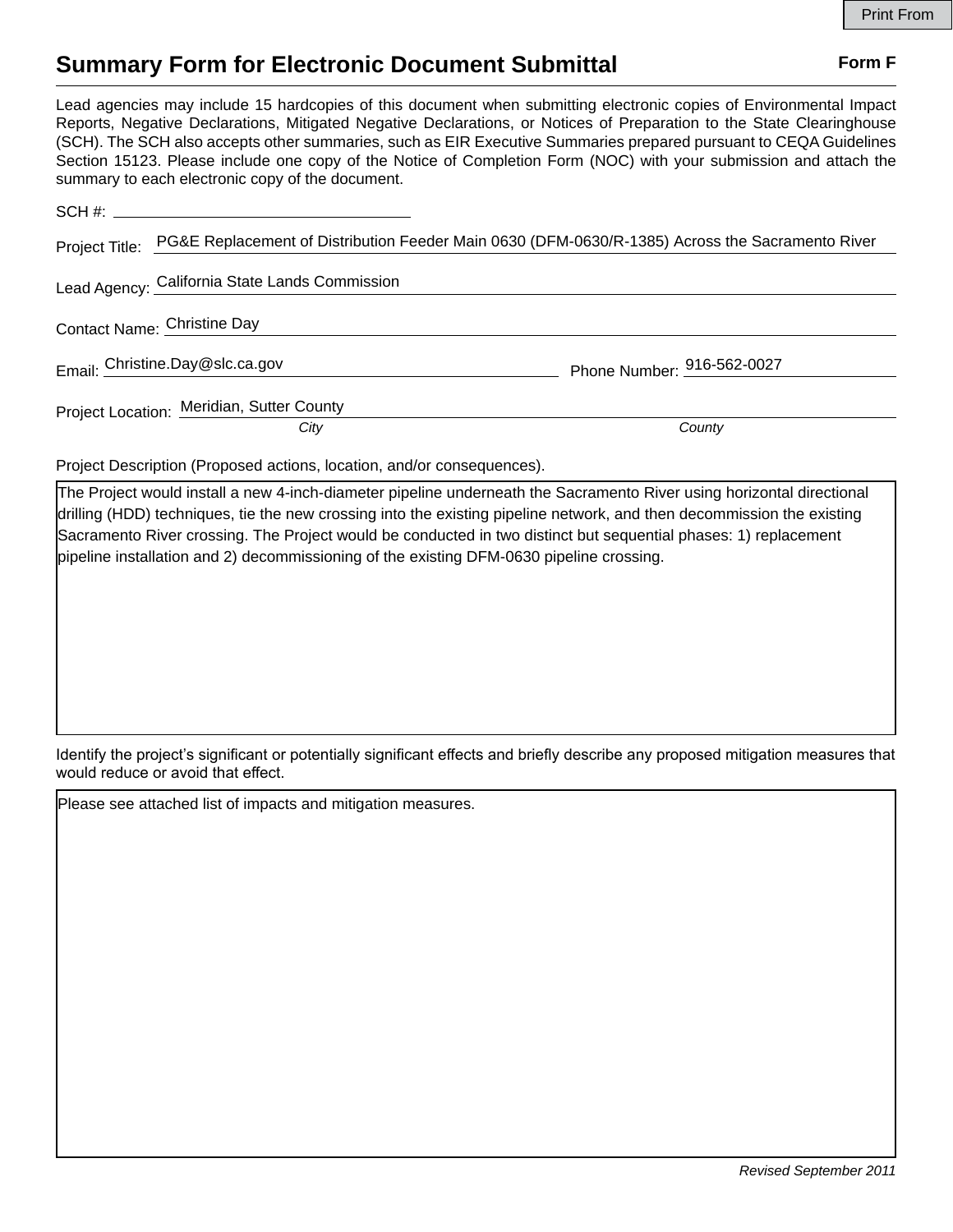# **Summary Form for Electronic Document Submittal Form F Form F**

Lead agencies may include 15 hardcopies of this document when submitting electronic copies of Environmental Impact Reports, Negative Declarations, Mitigated Negative Declarations, or Notices of Preparation to the State Clearinghouse (SCH). The SCH also accepts other summaries, such as EIR Executive Summaries prepared pursuant to CEQA Guidelines Section 15123. Please include one copy of the Notice of Completion Form (NOC) with your submission and attach the summary to each electronic copy of the document.

|                             | SCH #: __________________________________                                                                      |                            |
|-----------------------------|----------------------------------------------------------------------------------------------------------------|----------------------------|
|                             | Project Title: PG&E Replacement of Distribution Feeder Main 0630 (DFM-0630/R-1385) Across the Sacramento River |                            |
|                             | Lead Agency: California State Lands Commission                                                                 |                            |
| Contact Name: Christine Day |                                                                                                                |                            |
|                             | Email: Christine.Day@slc.ca.gov                                                                                | Phone Number: 916-562-0027 |
|                             | Project Location: Meridian, Sutter County                                                                      |                            |
|                             | City                                                                                                           | County                     |
|                             |                                                                                                                |                            |

Project Description (Proposed actions, location, and/or consequences).

The Project would install a new 4-inch-diameter pipeline underneath the Sacramento River using horizontal directional drilling (HDD) techniques, tie the new crossing into the existing pipeline network, and then decommission the existing Sacramento River crossing. The Project would be conducted in two distinct but sequential phases: 1) replacement pipeline installation and 2) decommissioning of the existing DFM-0630 pipeline crossing.

Identify the project's significant or potentially significant effects and briefly describe any proposed mitigation measures that would reduce or avoid that effect.

Please see attached list of impacts and mitigation measures.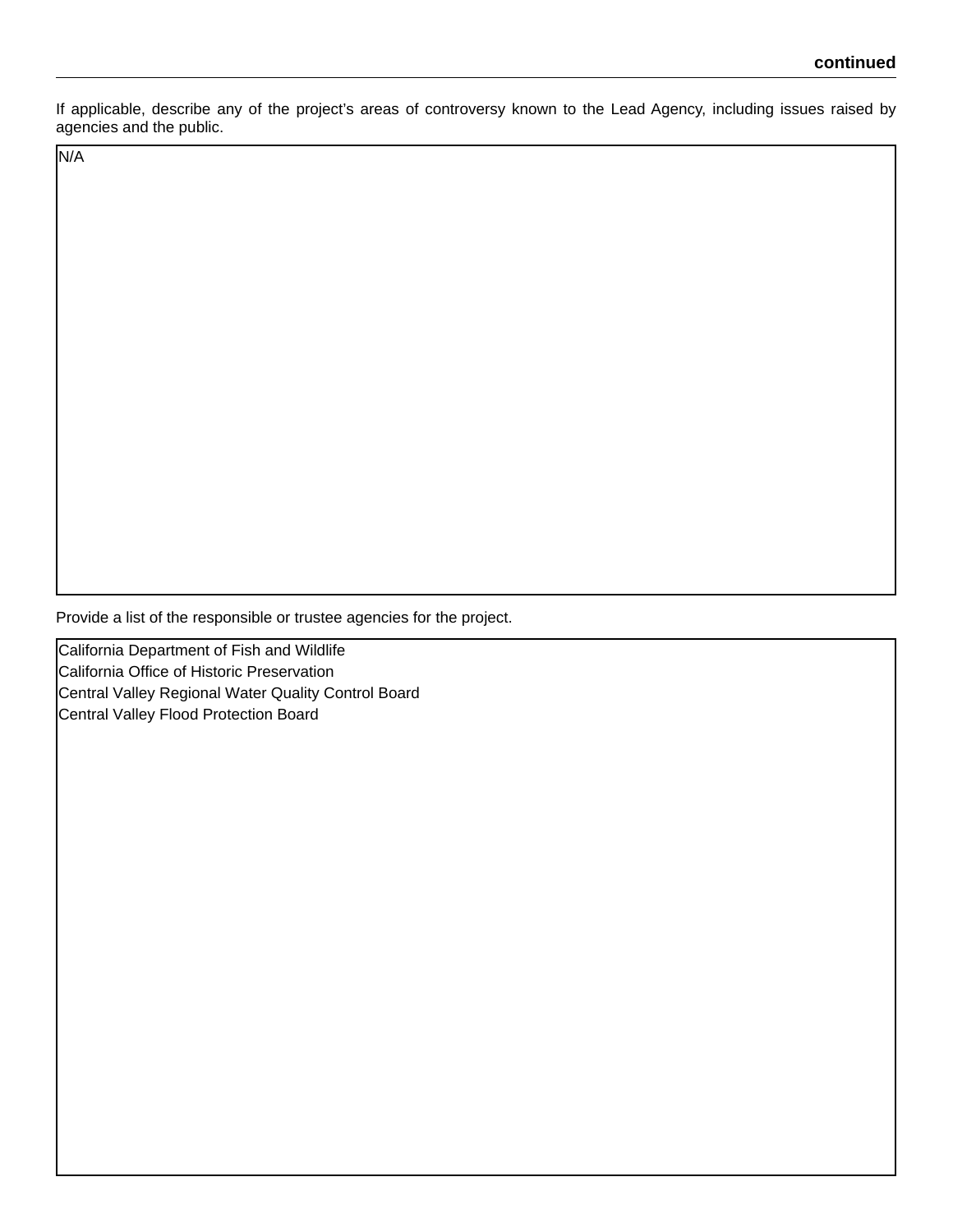If applicable, describe any of the project's areas of controversy known to the Lead Agency, including issues raised by agencies and the public.

N/A

Provide a list of the responsible or trustee agencies for the project.

California Department of Fish and Wildlife California Office of Historic Preservation Central Valley Regional Water Quality Control Board Central Valley Flood Protection Board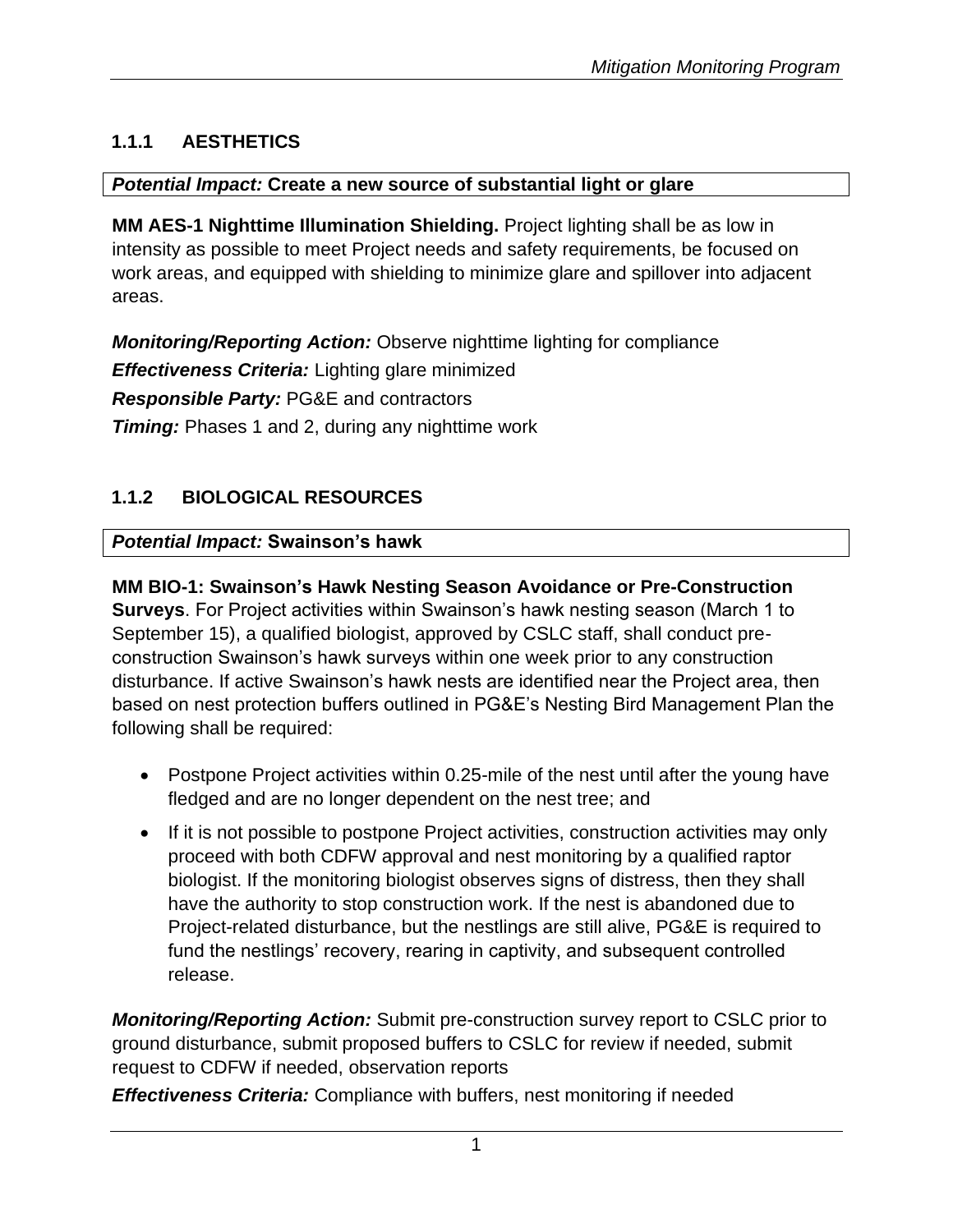# **1.1.1 AESTHETICS**

#### *Potential Impact:* **Create a new source of substantial light or glare**

**MM AES-1 Nighttime Illumination Shielding.** Project lighting shall be as low in intensity as possible to meet Project needs and safety requirements, be focused on work areas, and equipped with shielding to minimize glare and spillover into adjacent areas.

*Monitoring/Reporting Action:* Observe nighttime lighting for compliance *Effectiveness Criteria:* Lighting glare minimized *Responsible Party:* PG&E and contractors **Timing:** Phases 1 and 2, during any nighttime work

# **1.1.2 BIOLOGICAL RESOURCES**

#### *Potential Impact:* **Swainson's hawk**

# **MM BIO-1: Swainson's Hawk Nesting Season Avoidance or Pre-Construction**

**Surveys**. For Project activities within Swainson's hawk nesting season (March 1 to September 15), a qualified biologist, approved by CSLC staff, shall conduct preconstruction Swainson's hawk surveys within one week prior to any construction disturbance. If active Swainson's hawk nests are identified near the Project area, then based on nest protection buffers outlined in PG&E's Nesting Bird Management Plan the following shall be required:

- Postpone Project activities within 0.25-mile of the nest until after the young have fledged and are no longer dependent on the nest tree; and
- If it is not possible to postpone Project activities, construction activities may only proceed with both CDFW approval and nest monitoring by a qualified raptor biologist. If the monitoring biologist observes signs of distress, then they shall have the authority to stop construction work. If the nest is abandoned due to Project-related disturbance, but the nestlings are still alive, PG&E is required to fund the nestlings' recovery, rearing in captivity, and subsequent controlled release.

*Monitoring/Reporting Action:* Submit pre-construction survey report to CSLC prior to ground disturbance, submit proposed buffers to CSLC for review if needed, submit request to CDFW if needed, observation reports

*Effectiveness Criteria:* Compliance with buffers, nest monitoring if needed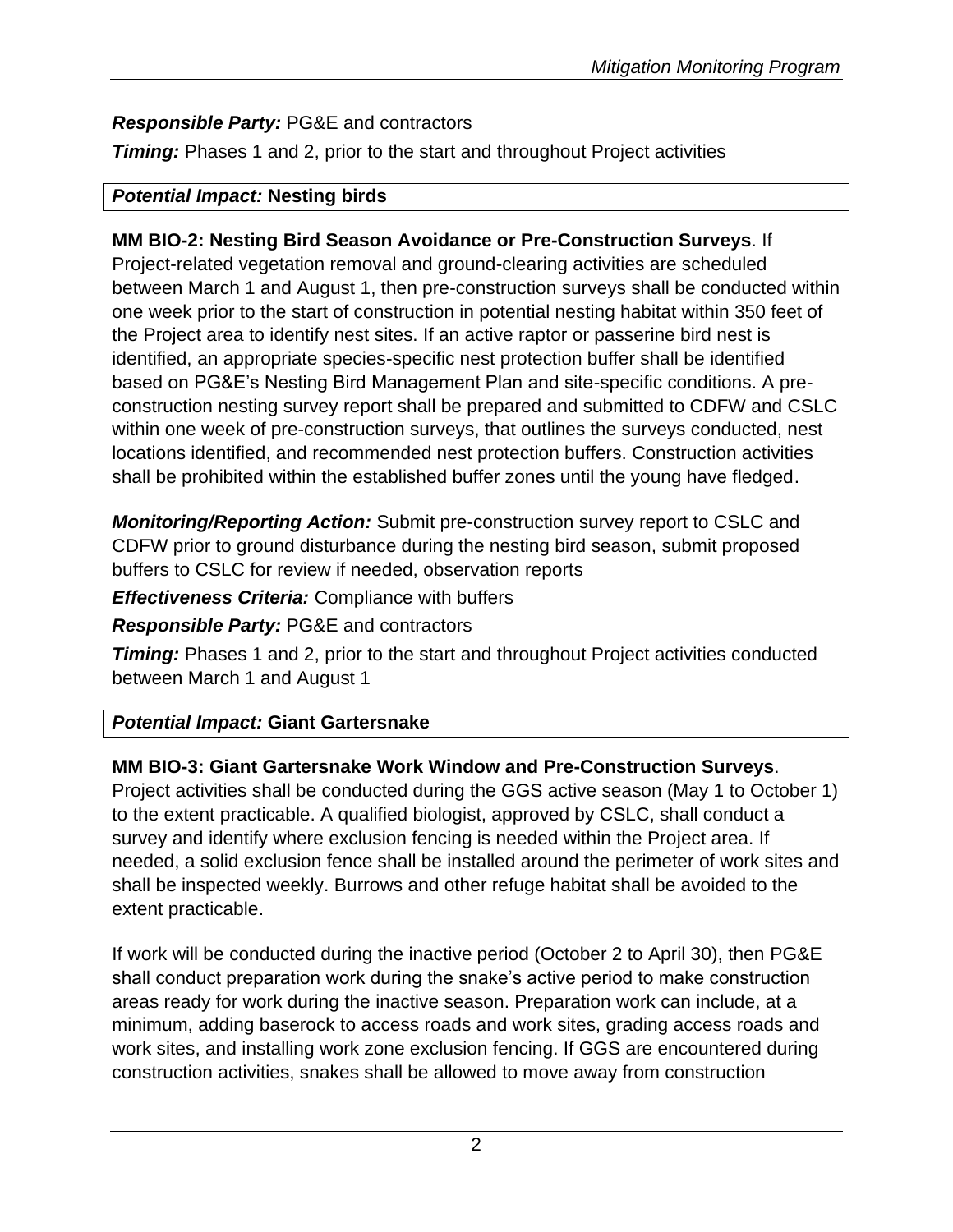# *Responsible Party:* PG&E and contractors

**Timing:** Phases 1 and 2, prior to the start and throughout Project activities

#### *Potential Impact:* **Nesting birds**

#### **MM BIO-2: Nesting Bird Season Avoidance or Pre-Construction Surveys**. If

Project-related vegetation removal and ground-clearing activities are scheduled between March 1 and August 1, then pre-construction surveys shall be conducted within one week prior to the start of construction in potential nesting habitat within 350 feet of the Project area to identify nest sites. If an active raptor or passerine bird nest is identified, an appropriate species-specific nest protection buffer shall be identified based on PG&E's Nesting Bird Management Plan and site-specific conditions. A preconstruction nesting survey report shall be prepared and submitted to CDFW and CSLC within one week of pre-construction surveys, that outlines the surveys conducted, nest locations identified, and recommended nest protection buffers. Construction activities shall be prohibited within the established buffer zones until the young have fledged.

*Monitoring/Reporting Action:* Submit pre-construction survey report to CSLC and CDFW prior to ground disturbance during the nesting bird season, submit proposed buffers to CSLC for review if needed, observation reports

*Effectiveness Criteria:* Compliance with buffers

#### *Responsible Party:* PG&E and contractors

**Timing:** Phases 1 and 2, prior to the start and throughout Project activities conducted between March 1 and August 1

# *Potential Impact:* **Giant Gartersnake**

# **MM BIO-3: Giant Gartersnake Work Window and Pre-Construction Surveys**.

Project activities shall be conducted during the GGS active season (May 1 to October 1) to the extent practicable. A qualified biologist, approved by CSLC, shall conduct a survey and identify where exclusion fencing is needed within the Project area. If needed, a solid exclusion fence shall be installed around the perimeter of work sites and shall be inspected weekly. Burrows and other refuge habitat shall be avoided to the extent practicable.

If work will be conducted during the inactive period (October 2 to April 30), then PG&E shall conduct preparation work during the snake's active period to make construction areas ready for work during the inactive season. Preparation work can include, at a minimum, adding baserock to access roads and work sites, grading access roads and work sites, and installing work zone exclusion fencing. If GGS are encountered during construction activities, snakes shall be allowed to move away from construction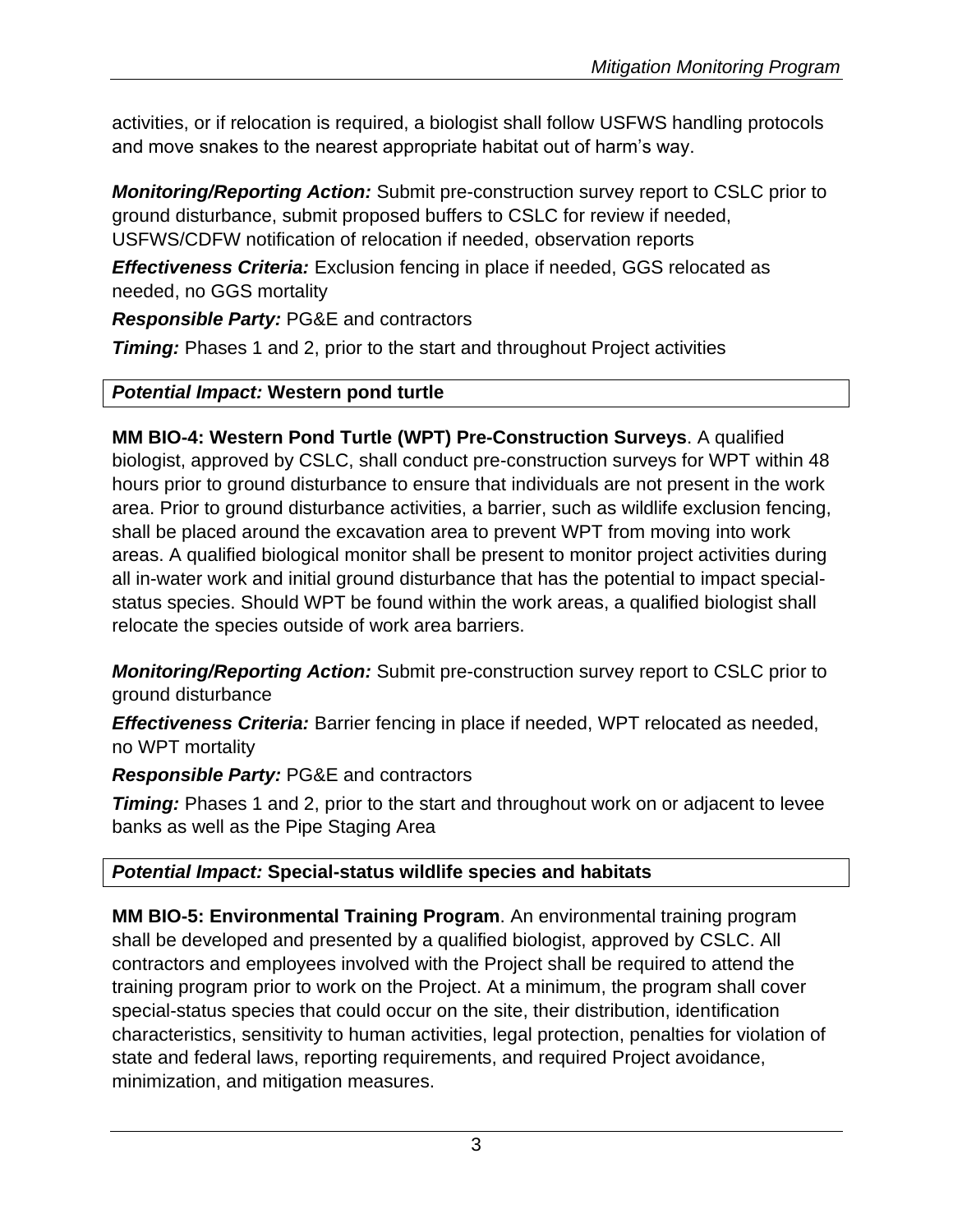activities, or if relocation is required, a biologist shall follow USFWS handling protocols and move snakes to the nearest appropriate habitat out of harm's way.

*Monitoring/Reporting Action:* Submit pre-construction survey report to CSLC prior to ground disturbance, submit proposed buffers to CSLC for review if needed, USFWS/CDFW notification of relocation if needed, observation reports

*Effectiveness Criteria:* Exclusion fencing in place if needed, GGS relocated as needed, no GGS mortality

*Responsible Party:* PG&E and contractors

**Timing:** Phases 1 and 2, prior to the start and throughout Project activities

# *Potential Impact:* **Western pond turtle**

**MM BIO-4: Western Pond Turtle (WPT) Pre-Construction Surveys**. A qualified biologist, approved by CSLC, shall conduct pre-construction surveys for WPT within 48 hours prior to ground disturbance to ensure that individuals are not present in the work area. Prior to ground disturbance activities, a barrier, such as wildlife exclusion fencing, shall be placed around the excavation area to prevent WPT from moving into work areas. A qualified biological monitor shall be present to monitor project activities during all in-water work and initial ground disturbance that has the potential to impact specialstatus species. Should WPT be found within the work areas, a qualified biologist shall relocate the species outside of work area barriers.

*Monitoring/Reporting Action:* Submit pre-construction survey report to CSLC prior to ground disturbance

*Effectiveness Criteria:* Barrier fencing in place if needed, WPT relocated as needed, no WPT mortality

*Responsible Party:* PG&E and contractors

**Timing:** Phases 1 and 2, prior to the start and throughout work on or adjacent to levee banks as well as the Pipe Staging Area

# *Potential Impact:* **Special-status wildlife species and habitats**

**MM BIO-5: Environmental Training Program**. An environmental training program shall be developed and presented by a qualified biologist, approved by CSLC. All contractors and employees involved with the Project shall be required to attend the training program prior to work on the Project. At a minimum, the program shall cover special-status species that could occur on the site, their distribution, identification characteristics, sensitivity to human activities, legal protection, penalties for violation of state and federal laws, reporting requirements, and required Project avoidance, minimization, and mitigation measures.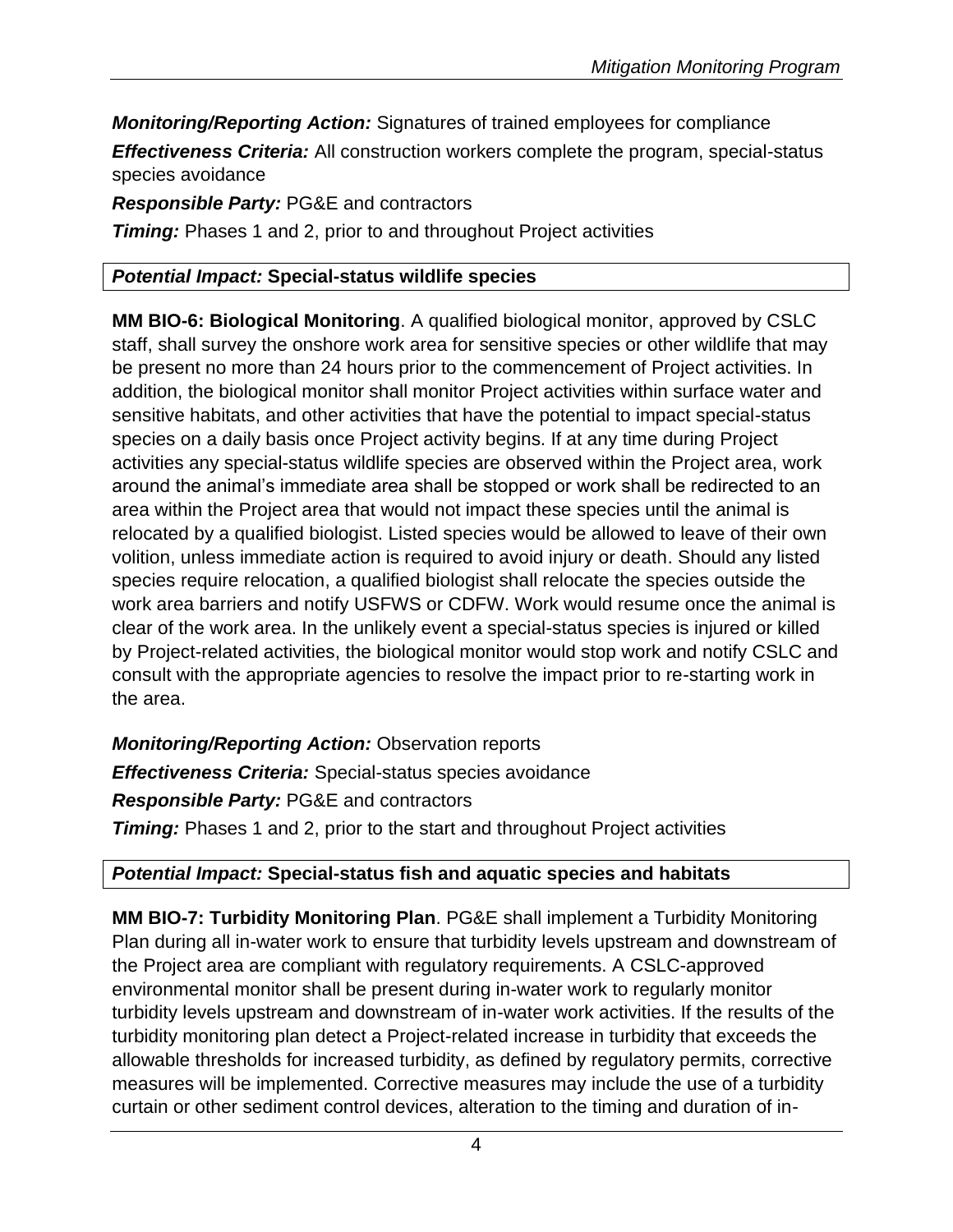*Monitoring/Reporting Action:* Signatures of trained employees for compliance *Effectiveness Criteria:* All construction workers complete the program, special-status species avoidance

*Responsible Party:* PG&E and contractors

**Timing:** Phases 1 and 2, prior to and throughout Project activities

# *Potential Impact:* **Special-status wildlife species**

**MM BIO-6: Biological Monitoring**. A qualified biological monitor, approved by CSLC staff, shall survey the onshore work area for sensitive species or other wildlife that may be present no more than 24 hours prior to the commencement of Project activities. In addition, the biological monitor shall monitor Project activities within surface water and sensitive habitats, and other activities that have the potential to impact special-status species on a daily basis once Project activity begins. If at any time during Project activities any special-status wildlife species are observed within the Project area, work around the animal's immediate area shall be stopped or work shall be redirected to an area within the Project area that would not impact these species until the animal is relocated by a qualified biologist. Listed species would be allowed to leave of their own volition, unless immediate action is required to avoid injury or death. Should any listed species require relocation, a qualified biologist shall relocate the species outside the work area barriers and notify USFWS or CDFW. Work would resume once the animal is clear of the work area. In the unlikely event a special-status species is injured or killed by Project-related activities, the biological monitor would stop work and notify CSLC and consult with the appropriate agencies to resolve the impact prior to re-starting work in the area.

*Monitoring/Reporting Action:* Observation reports *Effectiveness Criteria:* Special-status species avoidance *Responsible Party:* PG&E and contractors **Timing:** Phases 1 and 2, prior to the start and throughout Project activities

# *Potential Impact:* **Special-status fish and aquatic species and habitats**

**MM BIO-7: Turbidity Monitoring Plan**. PG&E shall implement a Turbidity Monitoring Plan during all in-water work to ensure that turbidity levels upstream and downstream of the Project area are compliant with regulatory requirements. A CSLC-approved environmental monitor shall be present during in-water work to regularly monitor turbidity levels upstream and downstream of in-water work activities. If the results of the turbidity monitoring plan detect a Project-related increase in turbidity that exceeds the allowable thresholds for increased turbidity, as defined by regulatory permits, corrective measures will be implemented. Corrective measures may include the use of a turbidity curtain or other sediment control devices, alteration to the timing and duration of in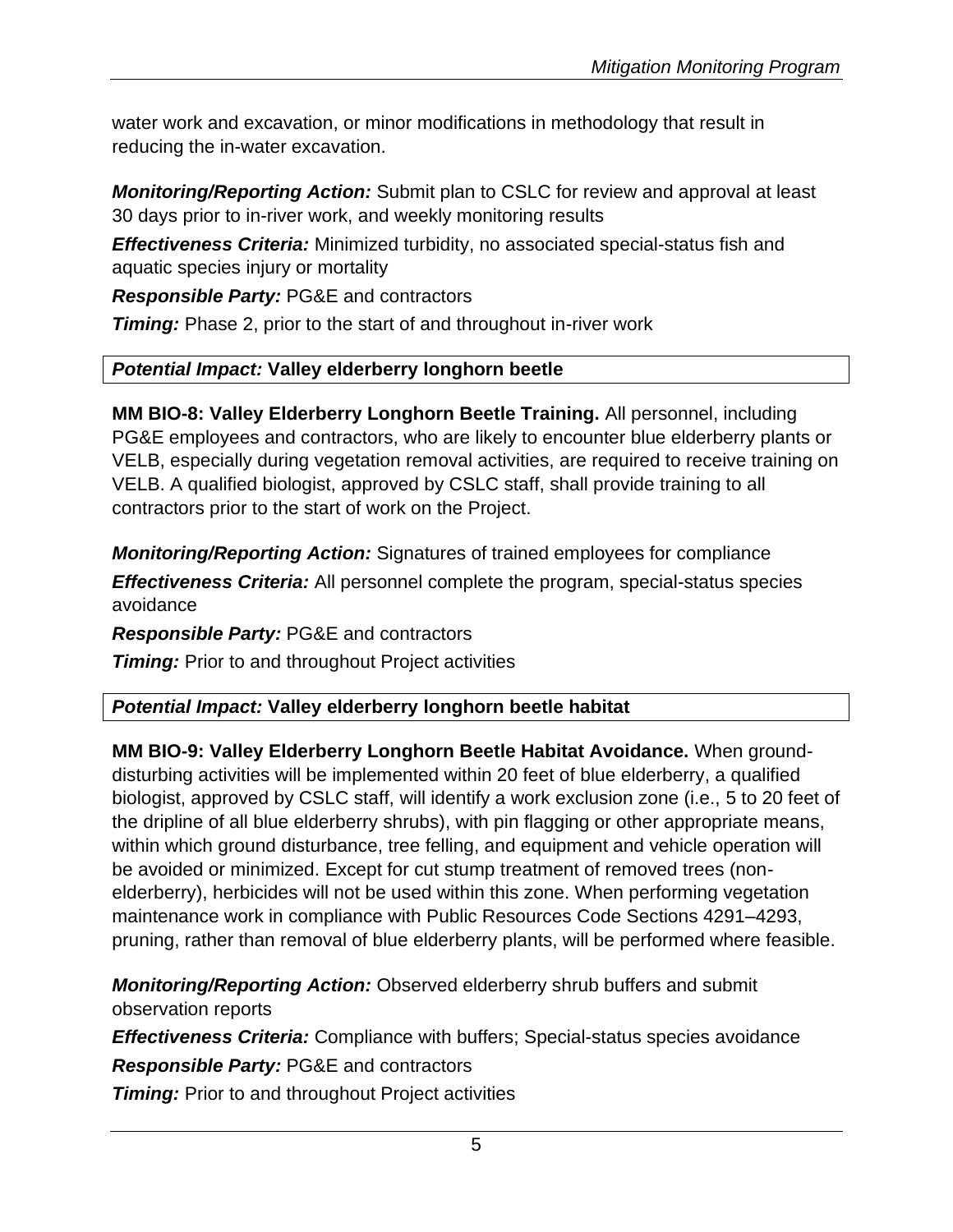water work and excavation, or minor modifications in methodology that result in reducing the in-water excavation.

*Monitoring/Reporting Action:* Submit plan to CSLC for review and approval at least 30 days prior to in-river work, and weekly monitoring results

*Effectiveness Criteria:* Minimized turbidity, no associated special-status fish and aquatic species injury or mortality

*Responsible Party:* PG&E and contractors

*Timing:* Phase 2, prior to the start of and throughout in-river work

#### *Potential Impact:* **Valley elderberry longhorn beetle**

**MM BIO-8: Valley Elderberry Longhorn Beetle Training.** All personnel, including PG&E employees and contractors, who are likely to encounter blue elderberry plants or VELB, especially during vegetation removal activities, are required to receive training on VELB. A qualified biologist, approved by CSLC staff, shall provide training to all contractors prior to the start of work on the Project.

*Monitoring/Reporting Action:* Signatures of trained employees for compliance *Effectiveness Criteria:* All personnel complete the program, special-status species avoidance

*Responsible Party:* PG&E and contractors

**Timing:** Prior to and throughout Project activities

# *Potential Impact:* **Valley elderberry longhorn beetle habitat**

**MM BIO-9: Valley Elderberry Longhorn Beetle Habitat Avoidance.** When grounddisturbing activities will be implemented within 20 feet of blue elderberry, a qualified biologist, approved by CSLC staff, will identify a work exclusion zone (i.e., 5 to 20 feet of the dripline of all blue elderberry shrubs), with pin flagging or other appropriate means, within which ground disturbance, tree felling, and equipment and vehicle operation will be avoided or minimized. Except for cut stump treatment of removed trees (nonelderberry), herbicides will not be used within this zone. When performing vegetation maintenance work in compliance with Public Resources Code Sections 4291–4293, pruning, rather than removal of blue elderberry plants, will be performed where feasible.

*Monitoring/Reporting Action:* Observed elderberry shrub buffers and submit observation reports

*Effectiveness Criteria:* Compliance with buffers; Special-status species avoidance

*Responsible Party:* PG&E and contractors

**Timing:** Prior to and throughout Project activities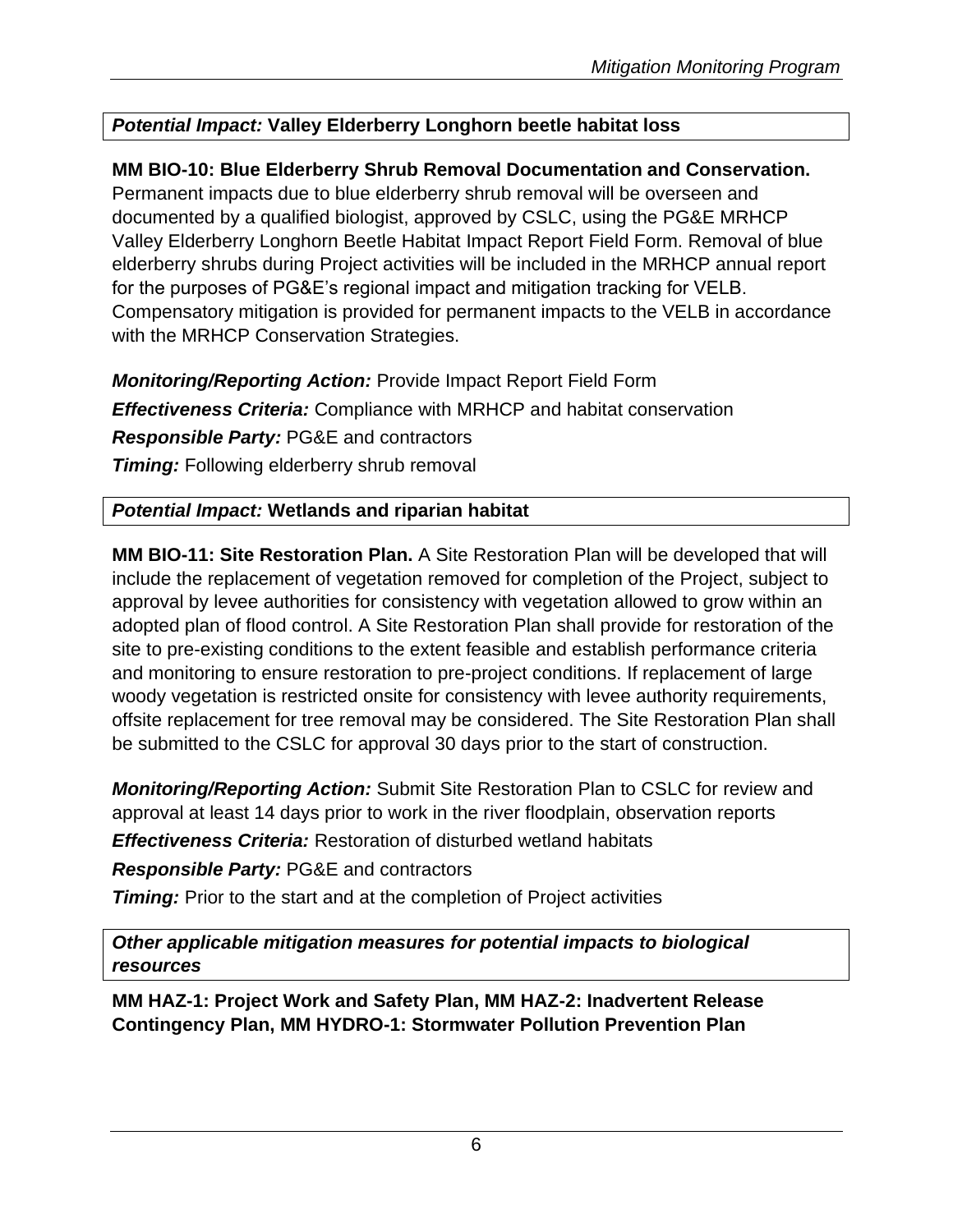# *Potential Impact:* **Valley Elderberry Longhorn beetle habitat loss**

# **MM BIO-10: Blue Elderberry Shrub Removal Documentation and Conservation.**

Permanent impacts due to blue elderberry shrub removal will be overseen and documented by a qualified biologist, approved by CSLC, using the PG&E MRHCP Valley Elderberry Longhorn Beetle Habitat Impact Report Field Form. Removal of blue elderberry shrubs during Project activities will be included in the MRHCP annual report for the purposes of PG&E's regional impact and mitigation tracking for VELB. Compensatory mitigation is provided for permanent impacts to the VELB in accordance with the MRHCP Conservation Strategies.

*Monitoring/Reporting Action:* Provide Impact Report Field Form *Effectiveness Criteria:* Compliance with MRHCP and habitat conservation *Responsible Party:* PG&E and contractors **Timing:** Following elderberry shrub removal

# *Potential Impact:* **Wetlands and riparian habitat**

**MM BIO-11: Site Restoration Plan.** A Site Restoration Plan will be developed that will include the replacement of vegetation removed for completion of the Project, subject to approval by levee authorities for consistency with vegetation allowed to grow within an adopted plan of flood control. A Site Restoration Plan shall provide for restoration of the site to pre-existing conditions to the extent feasible and establish performance criteria and monitoring to ensure restoration to pre-project conditions. If replacement of large woody vegetation is restricted onsite for consistency with levee authority requirements, offsite replacement for tree removal may be considered. The Site Restoration Plan shall be submitted to the CSLC for approval 30 days prior to the start of construction.

*Monitoring/Reporting Action:* Submit Site Restoration Plan to CSLC for review and approval at least 14 days prior to work in the river floodplain, observation reports *Effectiveness Criteria:* Restoration of disturbed wetland habitats

*Responsible Party:* PG&E and contractors

**Timing:** Prior to the start and at the completion of Project activities

*Other applicable mitigation measures for potential impacts to biological resources*

**MM HAZ-1: Project Work and Safety Plan, MM HAZ-2: Inadvertent Release Contingency Plan, MM HYDRO-1: Stormwater Pollution Prevention Plan**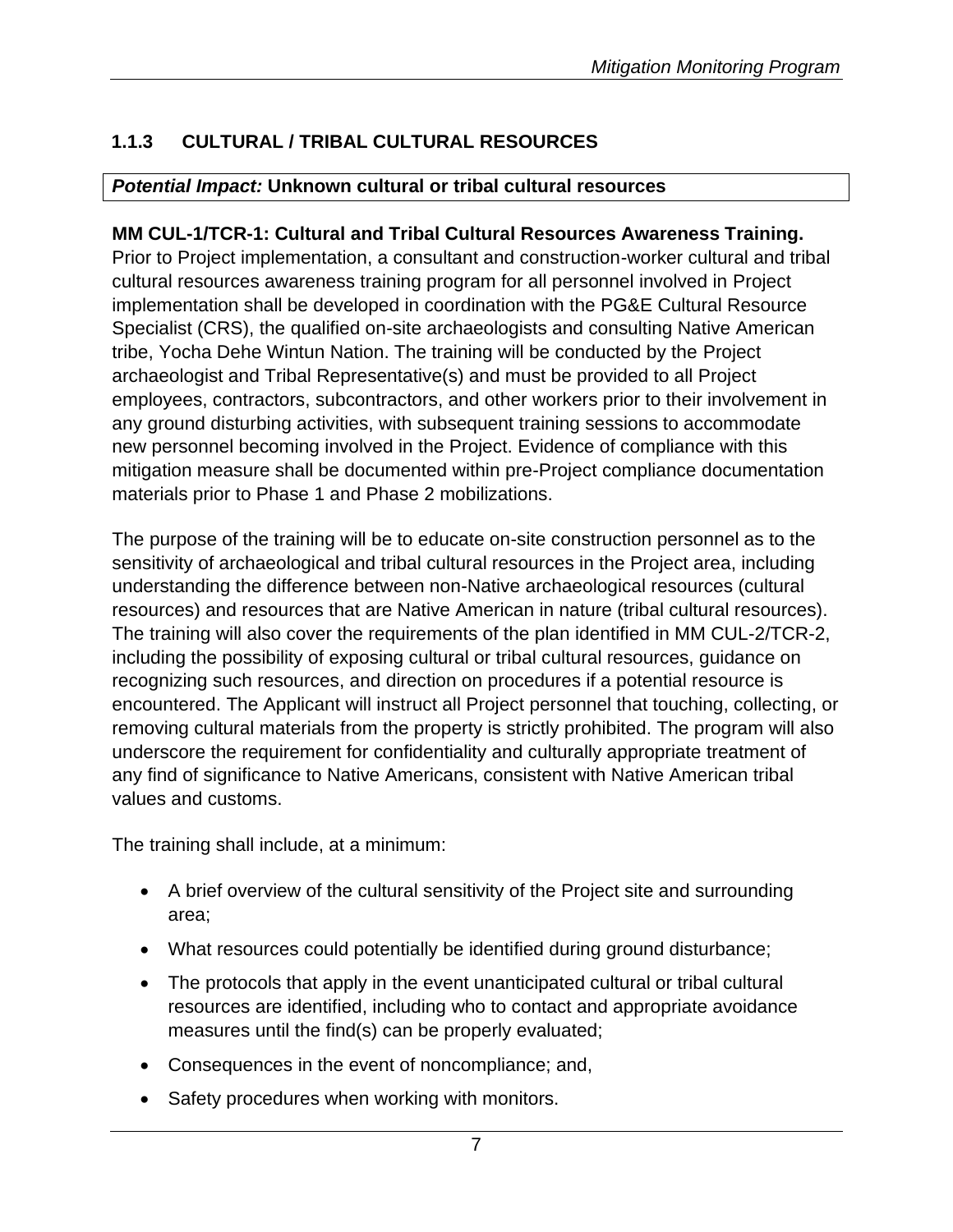# **1.1.3 CULTURAL / TRIBAL CULTURAL RESOURCES**

#### *Potential Impact:* **Unknown cultural or tribal cultural resources**

#### **MM CUL-1/TCR-1: Cultural and Tribal Cultural Resources Awareness Training.**

Prior to Project implementation, a consultant and construction-worker cultural and tribal cultural resources awareness training program for all personnel involved in Project implementation shall be developed in coordination with the PG&E Cultural Resource Specialist (CRS), the qualified on-site archaeologists and consulting Native American tribe, Yocha Dehe Wintun Nation. The training will be conducted by the Project archaeologist and Tribal Representative(s) and must be provided to all Project employees, contractors, subcontractors, and other workers prior to their involvement in any ground disturbing activities, with subsequent training sessions to accommodate new personnel becoming involved in the Project. Evidence of compliance with this mitigation measure shall be documented within pre-Project compliance documentation materials prior to Phase 1 and Phase 2 mobilizations.

The purpose of the training will be to educate on-site construction personnel as to the sensitivity of archaeological and tribal cultural resources in the Project area, including understanding the difference between non-Native archaeological resources (cultural resources) and resources that are Native American in nature (tribal cultural resources). The training will also cover the requirements of the plan identified in MM CUL-2/TCR-2, including the possibility of exposing cultural or tribal cultural resources, guidance on recognizing such resources, and direction on procedures if a potential resource is encountered. The Applicant will instruct all Project personnel that touching, collecting, or removing cultural materials from the property is strictly prohibited. The program will also underscore the requirement for confidentiality and culturally appropriate treatment of any find of significance to Native Americans, consistent with Native American tribal values and customs.

The training shall include, at a minimum:

- A brief overview of the cultural sensitivity of the Project site and surrounding area;
- What resources could potentially be identified during ground disturbance;
- The protocols that apply in the event unanticipated cultural or tribal cultural resources are identified, including who to contact and appropriate avoidance measures until the find(s) can be properly evaluated;
- Consequences in the event of noncompliance; and,
- Safety procedures when working with monitors.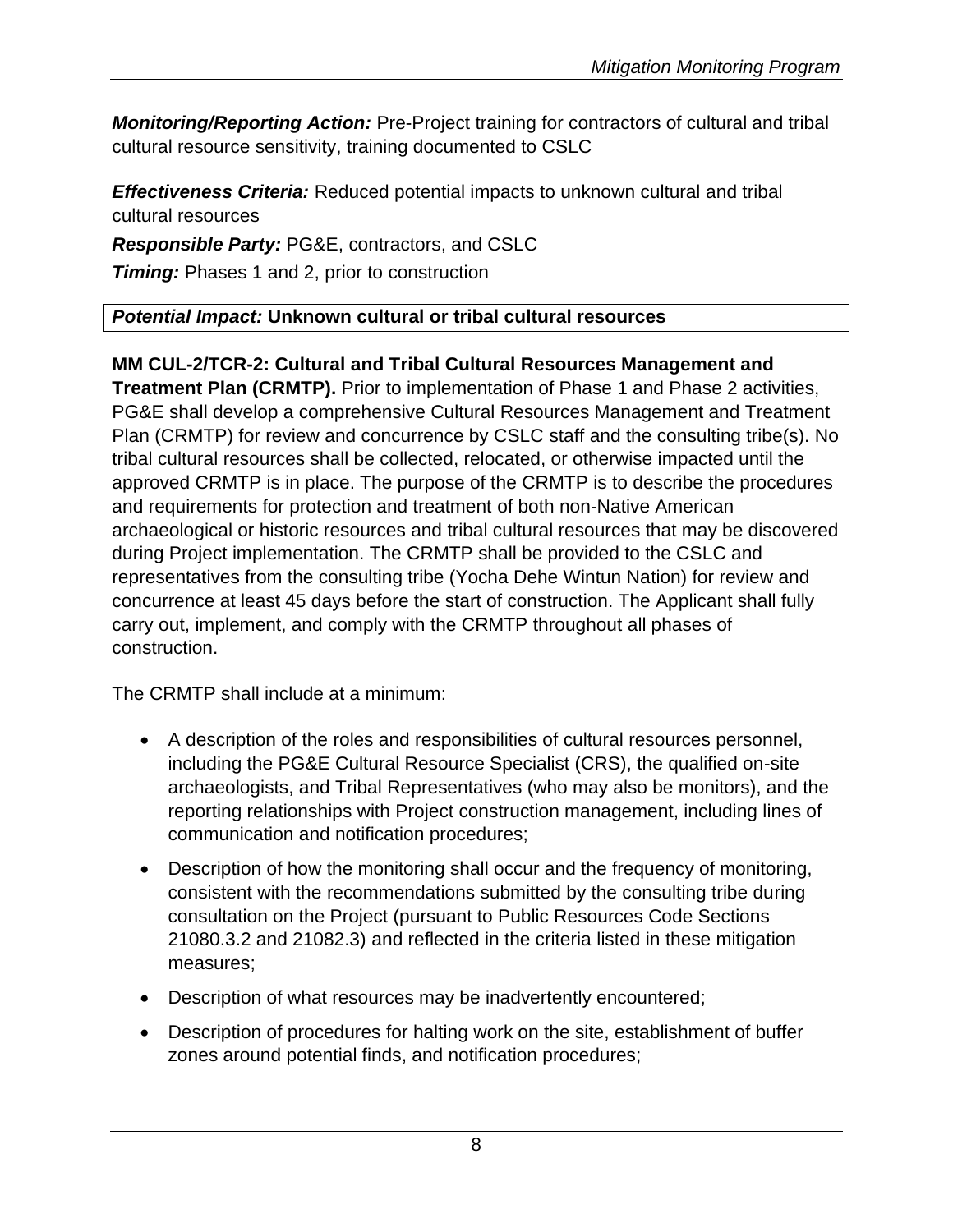*Monitoring/Reporting Action:* Pre-Project training for contractors of cultural and tribal cultural resource sensitivity, training documented to CSLC

*Effectiveness Criteria:* Reduced potential impacts to unknown cultural and tribal cultural resources

*Responsible Party:* PG&E, contractors, and CSLC

**Timing:** Phases 1 and 2, prior to construction

# *Potential Impact:* **Unknown cultural or tribal cultural resources**

# **MM CUL-2/TCR-2: Cultural and Tribal Cultural Resources Management and**

**Treatment Plan (CRMTP).** Prior to implementation of Phase 1 and Phase 2 activities, PG&E shall develop a comprehensive Cultural Resources Management and Treatment Plan (CRMTP) for review and concurrence by CSLC staff and the consulting tribe(s). No tribal cultural resources shall be collected, relocated, or otherwise impacted until the approved CRMTP is in place. The purpose of the CRMTP is to describe the procedures and requirements for protection and treatment of both non-Native American archaeological or historic resources and tribal cultural resources that may be discovered during Project implementation. The CRMTP shall be provided to the CSLC and representatives from the consulting tribe (Yocha Dehe Wintun Nation) for review and concurrence at least 45 days before the start of construction. The Applicant shall fully carry out, implement, and comply with the CRMTP throughout all phases of construction.

The CRMTP shall include at a minimum:

- A description of the roles and responsibilities of cultural resources personnel, including the PG&E Cultural Resource Specialist (CRS), the qualified on-site archaeologists, and Tribal Representatives (who may also be monitors), and the reporting relationships with Project construction management, including lines of communication and notification procedures;
- Description of how the monitoring shall occur and the frequency of monitoring, consistent with the recommendations submitted by the consulting tribe during consultation on the Project (pursuant to Public Resources Code Sections 21080.3.2 and 21082.3) and reflected in the criteria listed in these mitigation measures;
- Description of what resources may be inadvertently encountered;
- Description of procedures for halting work on the site, establishment of buffer zones around potential finds, and notification procedures;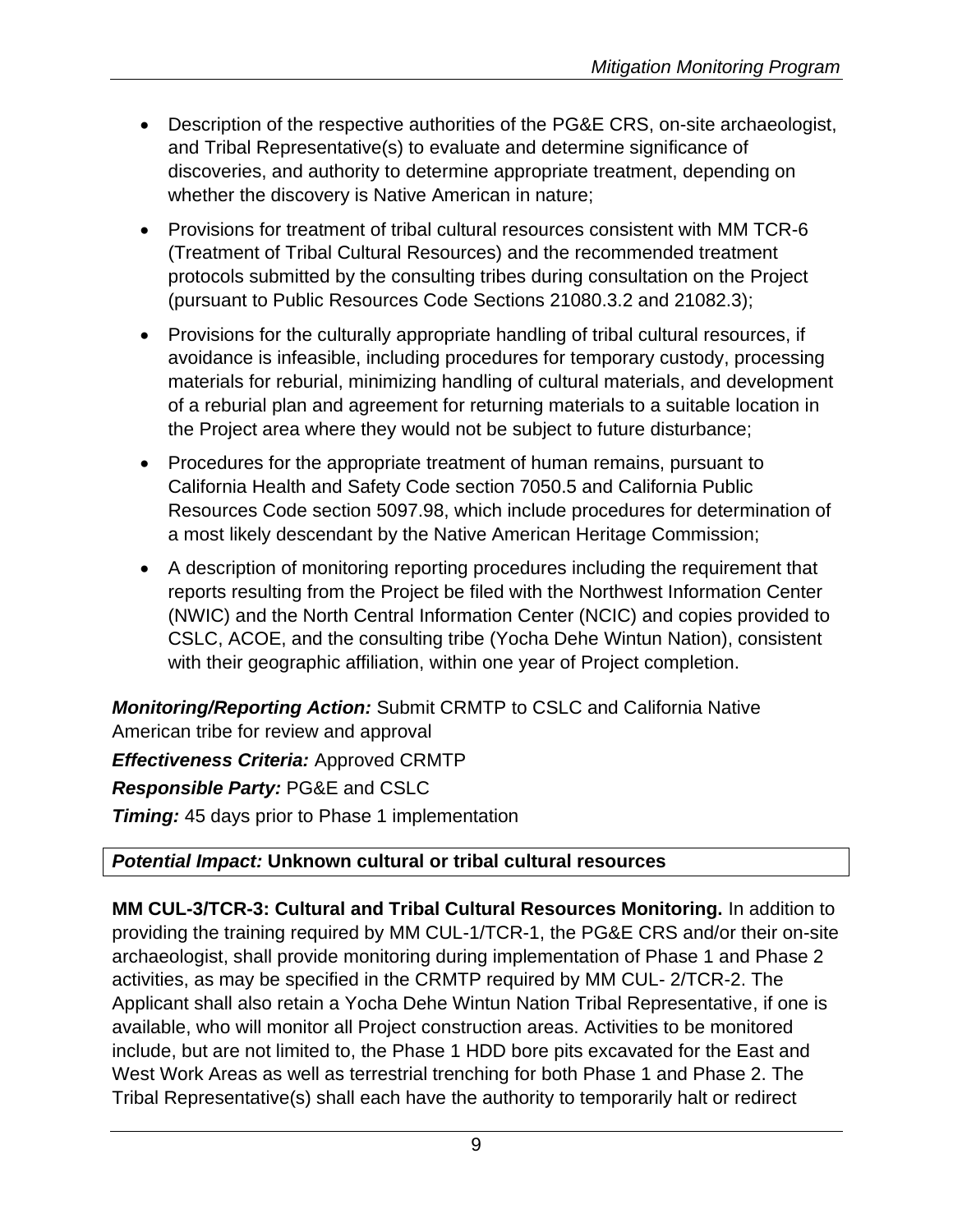- Description of the respective authorities of the PG&E CRS, on-site archaeologist, and Tribal Representative(s) to evaluate and determine significance of discoveries, and authority to determine appropriate treatment, depending on whether the discovery is Native American in nature;
- Provisions for treatment of tribal cultural resources consistent with MM TCR-6 (Treatment of Tribal Cultural Resources) and the recommended treatment protocols submitted by the consulting tribes during consultation on the Project (pursuant to Public Resources Code Sections 21080.3.2 and 21082.3);
- Provisions for the culturally appropriate handling of tribal cultural resources, if avoidance is infeasible, including procedures for temporary custody, processing materials for reburial, minimizing handling of cultural materials, and development of a reburial plan and agreement for returning materials to a suitable location in the Project area where they would not be subject to future disturbance;
- Procedures for the appropriate treatment of human remains, pursuant to California Health and Safety Code section 7050.5 and California Public Resources Code section 5097.98, which include procedures for determination of a most likely descendant by the Native American Heritage Commission;
- A description of monitoring reporting procedures including the requirement that reports resulting from the Project be filed with the Northwest Information Center (NWIC) and the North Central Information Center (NCIC) and copies provided to CSLC, ACOE, and the consulting tribe (Yocha Dehe Wintun Nation), consistent with their geographic affiliation, within one year of Project completion.

*Monitoring/Reporting Action:* Submit CRMTP to CSLC and California Native American tribe for review and approval *Effectiveness Criteria:* Approved CRMTP *Responsible Party:* PG&E and CSLC **Timing:** 45 days prior to Phase 1 implementation

# *Potential Impact:* **Unknown cultural or tribal cultural resources**

**MM CUL-3/TCR-3: Cultural and Tribal Cultural Resources Monitoring.** In addition to providing the training required by MM CUL-1/TCR-1, the PG&E CRS and/or their on-site archaeologist, shall provide monitoring during implementation of Phase 1 and Phase 2 activities, as may be specified in the CRMTP required by MM CUL- 2/TCR-2. The Applicant shall also retain a Yocha Dehe Wintun Nation Tribal Representative, if one is available, who will monitor all Project construction areas. Activities to be monitored include, but are not limited to, the Phase 1 HDD bore pits excavated for the East and West Work Areas as well as terrestrial trenching for both Phase 1 and Phase 2. The Tribal Representative(s) shall each have the authority to temporarily halt or redirect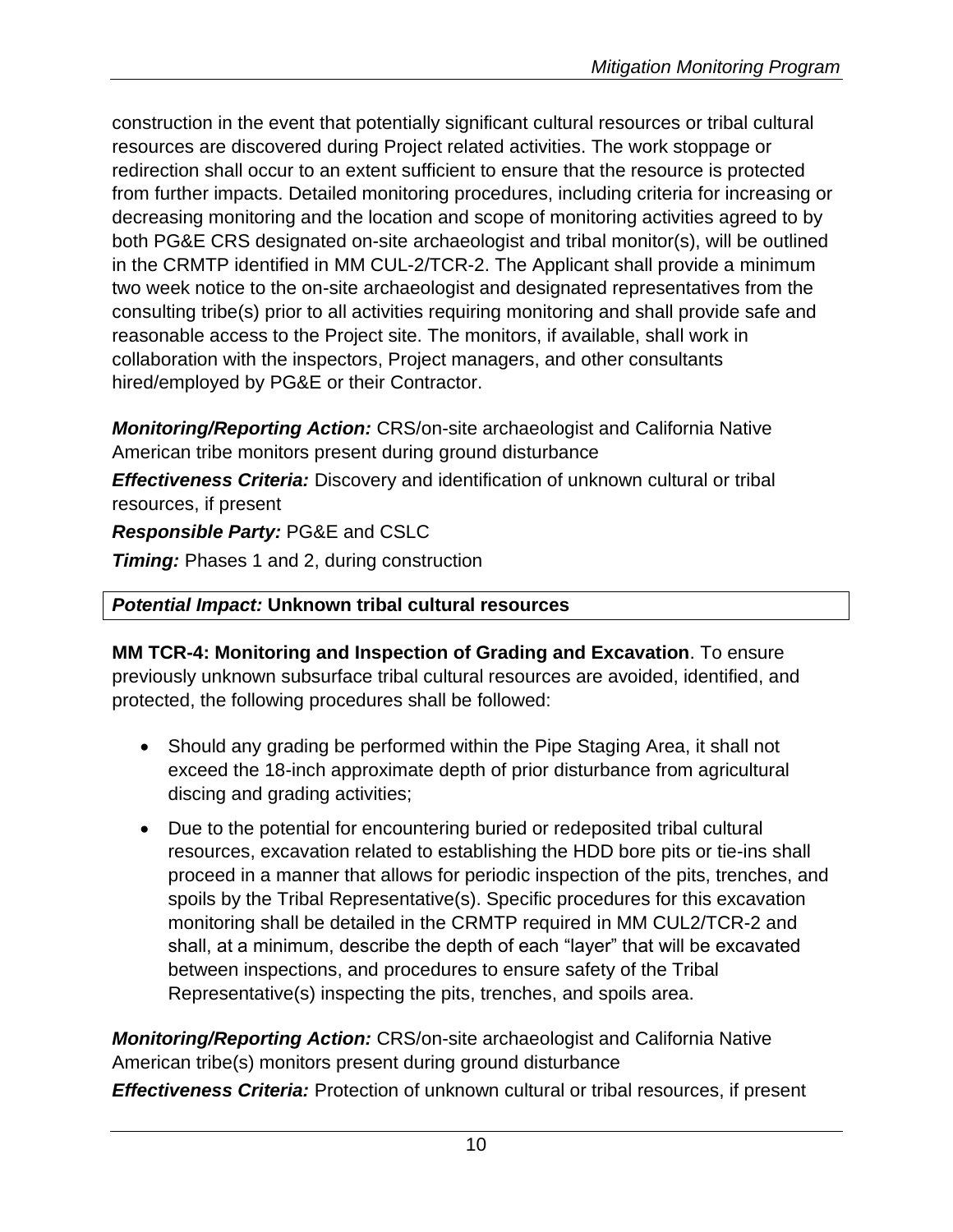construction in the event that potentially significant cultural resources or tribal cultural resources are discovered during Project related activities. The work stoppage or redirection shall occur to an extent sufficient to ensure that the resource is protected from further impacts. Detailed monitoring procedures, including criteria for increasing or decreasing monitoring and the location and scope of monitoring activities agreed to by both PG&E CRS designated on-site archaeologist and tribal monitor(s), will be outlined in the CRMTP identified in MM CUL-2/TCR-2. The Applicant shall provide a minimum two week notice to the on-site archaeologist and designated representatives from the consulting tribe(s) prior to all activities requiring monitoring and shall provide safe and reasonable access to the Project site. The monitors, if available, shall work in collaboration with the inspectors, Project managers, and other consultants hired/employed by PG&E or their Contractor.

*Monitoring/Reporting Action:* CRS/on-site archaeologist and California Native American tribe monitors present during ground disturbance

*Effectiveness Criteria:* Discovery and identification of unknown cultural or tribal resources, if present

*Responsible Party:* PG&E and CSLC

**Timing:** Phases 1 and 2, during construction

#### *Potential Impact:* **Unknown tribal cultural resources**

**MM TCR-4: Monitoring and Inspection of Grading and Excavation**. To ensure previously unknown subsurface tribal cultural resources are avoided, identified, and protected, the following procedures shall be followed:

- Should any grading be performed within the Pipe Staging Area, it shall not exceed the 18-inch approximate depth of prior disturbance from agricultural discing and grading activities;
- Due to the potential for encountering buried or redeposited tribal cultural resources, excavation related to establishing the HDD bore pits or tie-ins shall proceed in a manner that allows for periodic inspection of the pits, trenches, and spoils by the Tribal Representative(s). Specific procedures for this excavation monitoring shall be detailed in the CRMTP required in MM CUL2/TCR-2 and shall, at a minimum, describe the depth of each "layer" that will be excavated between inspections, and procedures to ensure safety of the Tribal Representative(s) inspecting the pits, trenches, and spoils area.

*Monitoring/Reporting Action:* CRS/on-site archaeologist and California Native American tribe(s) monitors present during ground disturbance

*Effectiveness Criteria:* Protection of unknown cultural or tribal resources, if present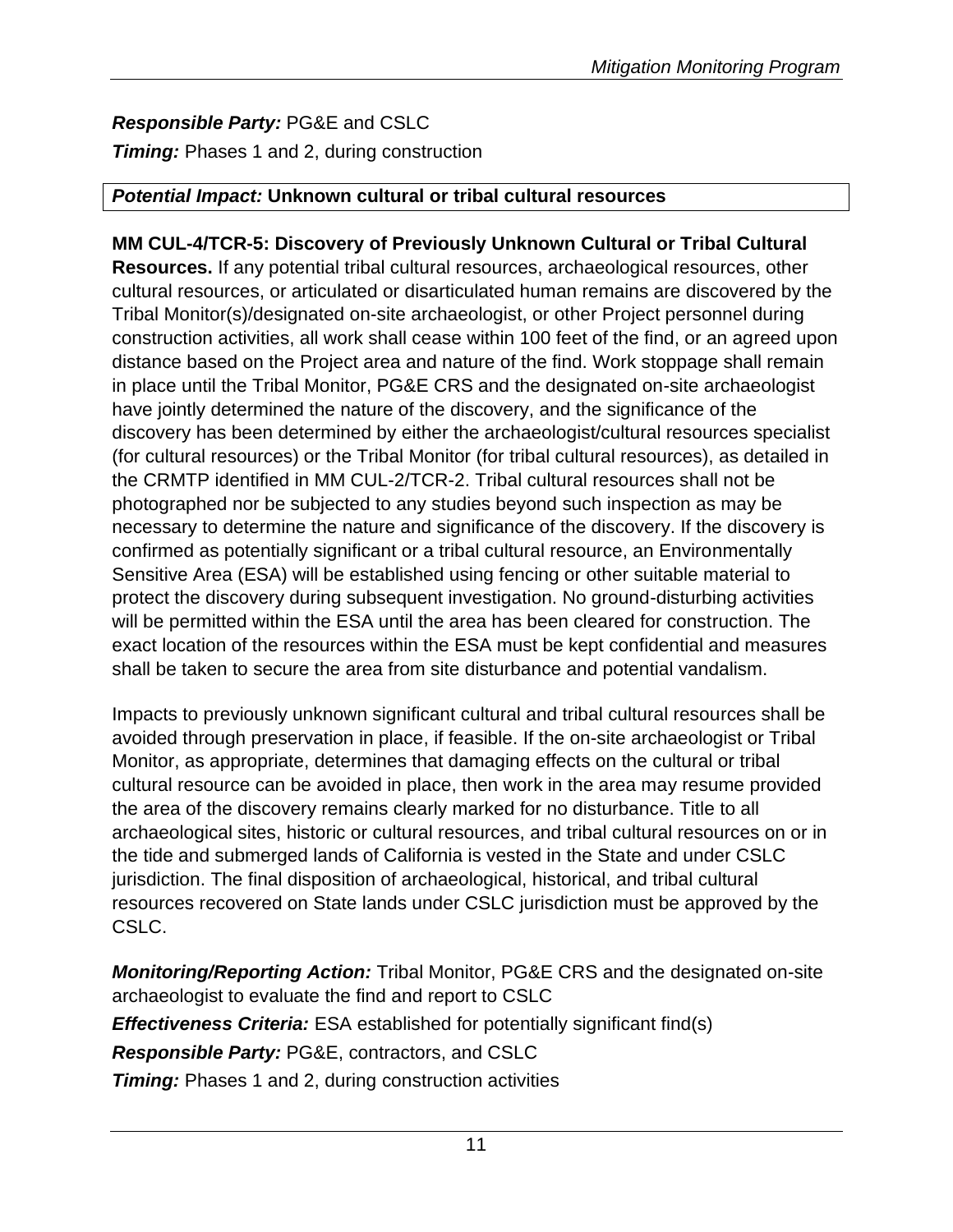# *Responsible Party:* PG&E and CSLC

*Timing:* Phases 1 and 2, during construction

#### *Potential Impact:* **Unknown cultural or tribal cultural resources**

# **MM CUL-4/TCR-5: Discovery of Previously Unknown Cultural or Tribal Cultural**

**Resources.** If any potential tribal cultural resources, archaeological resources, other cultural resources, or articulated or disarticulated human remains are discovered by the Tribal Monitor(s)/designated on-site archaeologist, or other Project personnel during construction activities, all work shall cease within 100 feet of the find, or an agreed upon distance based on the Project area and nature of the find. Work stoppage shall remain in place until the Tribal Monitor, PG&E CRS and the designated on-site archaeologist have jointly determined the nature of the discovery, and the significance of the discovery has been determined by either the archaeologist/cultural resources specialist (for cultural resources) or the Tribal Monitor (for tribal cultural resources), as detailed in the CRMTP identified in MM CUL-2/TCR-2. Tribal cultural resources shall not be photographed nor be subjected to any studies beyond such inspection as may be necessary to determine the nature and significance of the discovery. If the discovery is confirmed as potentially significant or a tribal cultural resource, an Environmentally Sensitive Area (ESA) will be established using fencing or other suitable material to protect the discovery during subsequent investigation. No ground-disturbing activities will be permitted within the ESA until the area has been cleared for construction. The exact location of the resources within the ESA must be kept confidential and measures shall be taken to secure the area from site disturbance and potential vandalism.

Impacts to previously unknown significant cultural and tribal cultural resources shall be avoided through preservation in place, if feasible. If the on-site archaeologist or Tribal Monitor, as appropriate, determines that damaging effects on the cultural or tribal cultural resource can be avoided in place, then work in the area may resume provided the area of the discovery remains clearly marked for no disturbance. Title to all archaeological sites, historic or cultural resources, and tribal cultural resources on or in the tide and submerged lands of California is vested in the State and under CSLC jurisdiction. The final disposition of archaeological, historical, and tribal cultural resources recovered on State lands under CSLC jurisdiction must be approved by the CSLC.

*Monitoring/Reporting Action:* Tribal Monitor, PG&E CRS and the designated on-site archaeologist to evaluate the find and report to CSLC *Effectiveness Criteria:* ESA established for potentially significant find(s) *Responsible Party:* PG&E, contractors, and CSLC

**Timing:** Phases 1 and 2, during construction activities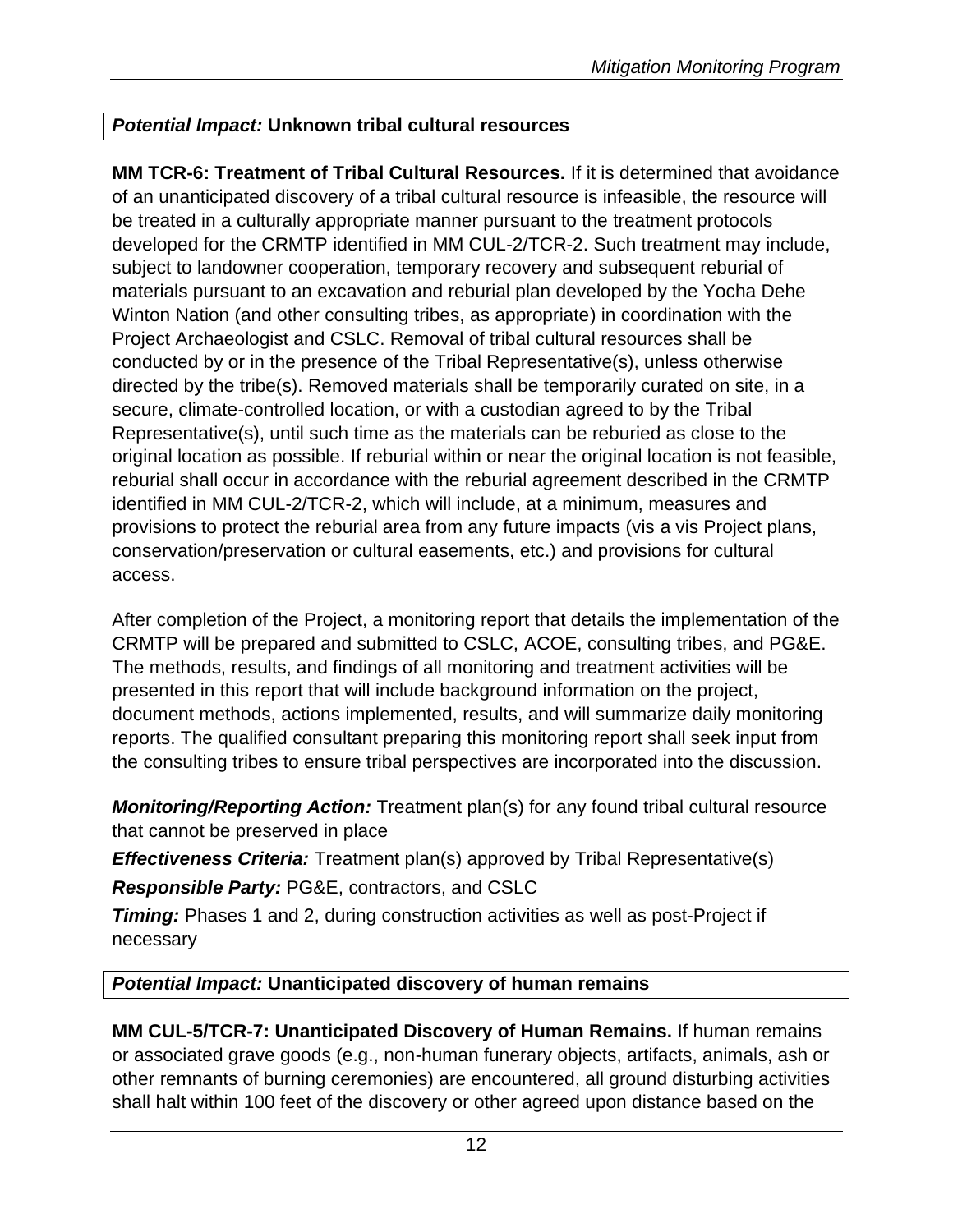# *Potential Impact:* **Unknown tribal cultural resources**

**MM TCR-6: Treatment of Tribal Cultural Resources.** If it is determined that avoidance of an unanticipated discovery of a tribal cultural resource is infeasible, the resource will be treated in a culturally appropriate manner pursuant to the treatment protocols developed for the CRMTP identified in MM CUL-2/TCR-2. Such treatment may include, subject to landowner cooperation, temporary recovery and subsequent reburial of materials pursuant to an excavation and reburial plan developed by the Yocha Dehe Winton Nation (and other consulting tribes, as appropriate) in coordination with the Project Archaeologist and CSLC. Removal of tribal cultural resources shall be conducted by or in the presence of the Tribal Representative(s), unless otherwise directed by the tribe(s). Removed materials shall be temporarily curated on site, in a secure, climate-controlled location, or with a custodian agreed to by the Tribal Representative(s), until such time as the materials can be reburied as close to the original location as possible. If reburial within or near the original location is not feasible, reburial shall occur in accordance with the reburial agreement described in the CRMTP identified in MM CUL-2/TCR-2, which will include, at a minimum, measures and provisions to protect the reburial area from any future impacts (vis a vis Project plans, conservation/preservation or cultural easements, etc.) and provisions for cultural access.

After completion of the Project, a monitoring report that details the implementation of the CRMTP will be prepared and submitted to CSLC, ACOE, consulting tribes, and PG&E. The methods, results, and findings of all monitoring and treatment activities will be presented in this report that will include background information on the project, document methods, actions implemented, results, and will summarize daily monitoring reports. The qualified consultant preparing this monitoring report shall seek input from the consulting tribes to ensure tribal perspectives are incorporated into the discussion.

*Monitoring/Reporting Action:* Treatment plan(s) for any found tribal cultural resource that cannot be preserved in place

*Effectiveness Criteria:* Treatment plan(s) approved by Tribal Representative(s)

*Responsible Party:* PG&E, contractors, and CSLC

**Timing:** Phases 1 and 2, during construction activities as well as post-Project if necessary

#### *Potential Impact:* **Unanticipated discovery of human remains**

**MM CUL-5/TCR-7: Unanticipated Discovery of Human Remains.** If human remains or associated grave goods (e.g., non-human funerary objects, artifacts, animals, ash or other remnants of burning ceremonies) are encountered, all ground disturbing activities shall halt within 100 feet of the discovery or other agreed upon distance based on the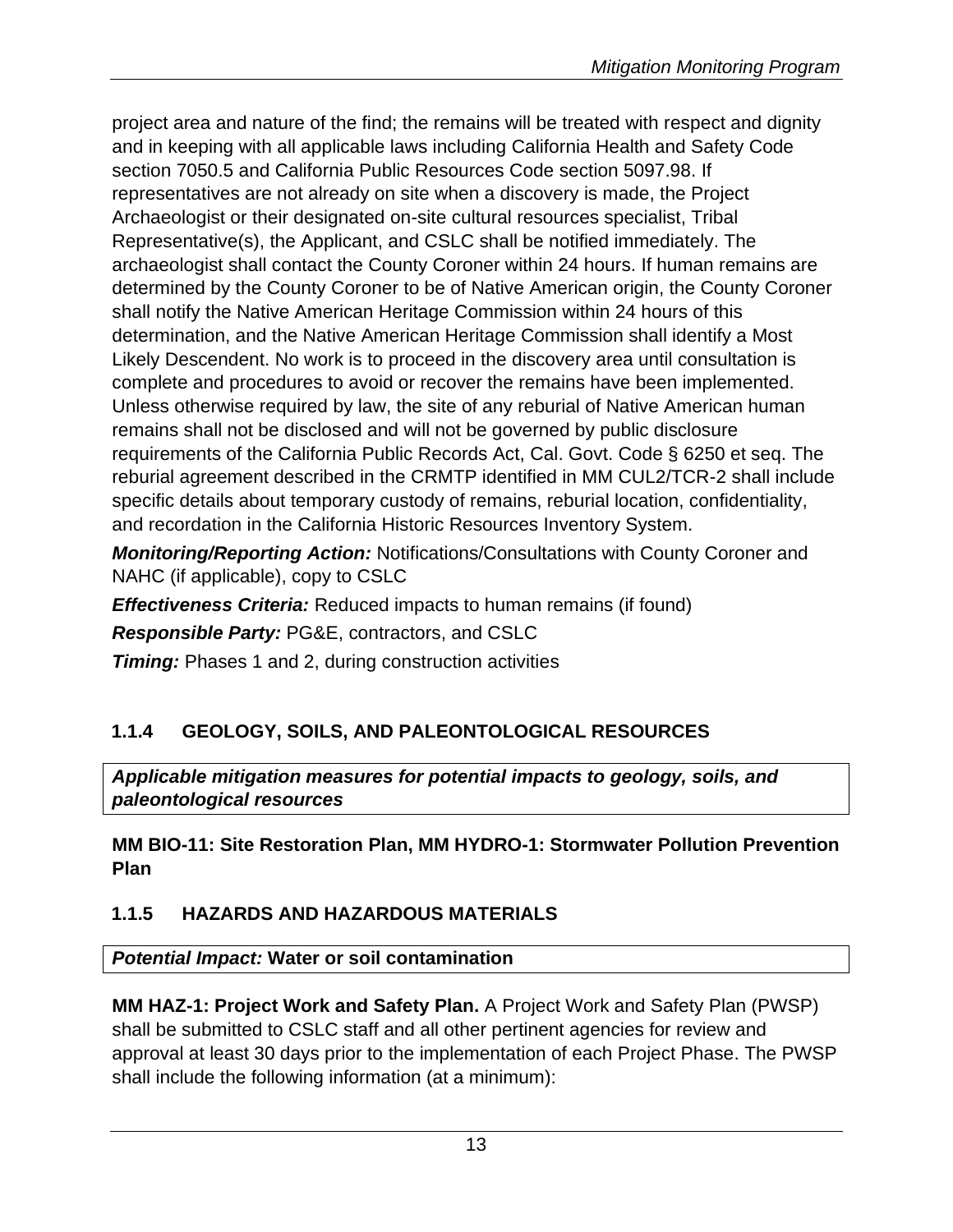project area and nature of the find; the remains will be treated with respect and dignity and in keeping with all applicable laws including California Health and Safety Code section 7050.5 and California Public Resources Code section 5097.98. If representatives are not already on site when a discovery is made, the Project Archaeologist or their designated on-site cultural resources specialist, Tribal Representative(s), the Applicant, and CSLC shall be notified immediately. The archaeologist shall contact the County Coroner within 24 hours. If human remains are determined by the County Coroner to be of Native American origin, the County Coroner shall notify the Native American Heritage Commission within 24 hours of this determination, and the Native American Heritage Commission shall identify a Most Likely Descendent. No work is to proceed in the discovery area until consultation is complete and procedures to avoid or recover the remains have been implemented. Unless otherwise required by law, the site of any reburial of Native American human remains shall not be disclosed and will not be governed by public disclosure requirements of the California Public Records Act, Cal. Govt. Code § 6250 et seq. The reburial agreement described in the CRMTP identified in MM CUL2/TCR-2 shall include specific details about temporary custody of remains, reburial location, confidentiality, and recordation in the California Historic Resources Inventory System.

*Monitoring/Reporting Action:* Notifications/Consultations with County Coroner and NAHC (if applicable), copy to CSLC

*Effectiveness Criteria:* Reduced impacts to human remains (if found)

*Responsible Party:* PG&E, contractors, and CSLC

**Timing:** Phases 1 and 2, during construction activities

# **1.1.4 GEOLOGY, SOILS, AND PALEONTOLOGICAL RESOURCES**

*Applicable mitigation measures for potential impacts to geology, soils, and paleontological resources*

**MM BIO-11: Site Restoration Plan, MM HYDRO-1: Stormwater Pollution Prevention Plan**

# **1.1.5 HAZARDS AND HAZARDOUS MATERIALS**

*Potential Impact:* **Water or soil contamination**

**MM HAZ-1: Project Work and Safety Plan.** A Project Work and Safety Plan (PWSP) shall be submitted to CSLC staff and all other pertinent agencies for review and approval at least 30 days prior to the implementation of each Project Phase. The PWSP shall include the following information (at a minimum):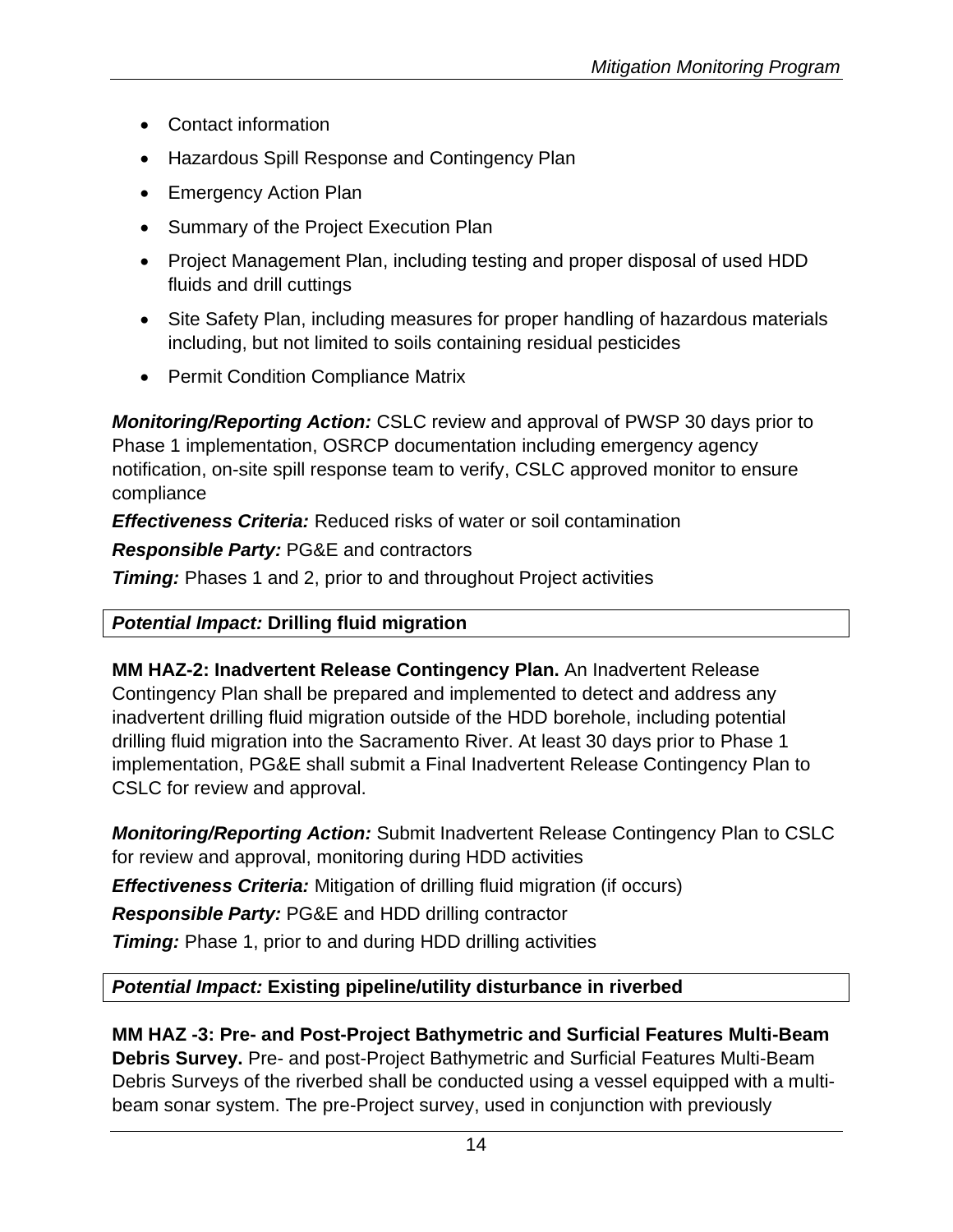- Contact information
- Hazardous Spill Response and Contingency Plan
- Emergency Action Plan
- Summary of the Project Execution Plan
- Project Management Plan, including testing and proper disposal of used HDD fluids and drill cuttings
- Site Safety Plan, including measures for proper handling of hazardous materials including, but not limited to soils containing residual pesticides
- Permit Condition Compliance Matrix

*Monitoring/Reporting Action:* CSLC review and approval of PWSP 30 days prior to Phase 1 implementation, OSRCP documentation including emergency agency notification, on-site spill response team to verify, CSLC approved monitor to ensure compliance

*Effectiveness Criteria:* Reduced risks of water or soil contamination

*Responsible Party:* PG&E and contractors

**Timing:** Phases 1 and 2, prior to and throughout Project activities

# *Potential Impact:* **Drilling fluid migration**

**MM HAZ-2: Inadvertent Release Contingency Plan.** An Inadvertent Release Contingency Plan shall be prepared and implemented to detect and address any inadvertent drilling fluid migration outside of the HDD borehole, including potential drilling fluid migration into the Sacramento River. At least 30 days prior to Phase 1 implementation, PG&E shall submit a Final Inadvertent Release Contingency Plan to CSLC for review and approval.

*Monitoring/Reporting Action:* Submit Inadvertent Release Contingency Plan to CSLC for review and approval, monitoring during HDD activities

*Effectiveness Criteria:* Mitigation of drilling fluid migration (if occurs)

*Responsible Party:* PG&E and HDD drilling contractor

*Timing:* Phase 1, prior to and during HDD drilling activities

# *Potential Impact:* **Existing pipeline/utility disturbance in riverbed**

**MM HAZ -3: Pre- and Post-Project Bathymetric and Surficial Features Multi-Beam Debris Survey.** Pre- and post-Project Bathymetric and Surficial Features Multi-Beam Debris Surveys of the riverbed shall be conducted using a vessel equipped with a multibeam sonar system. The pre-Project survey, used in conjunction with previously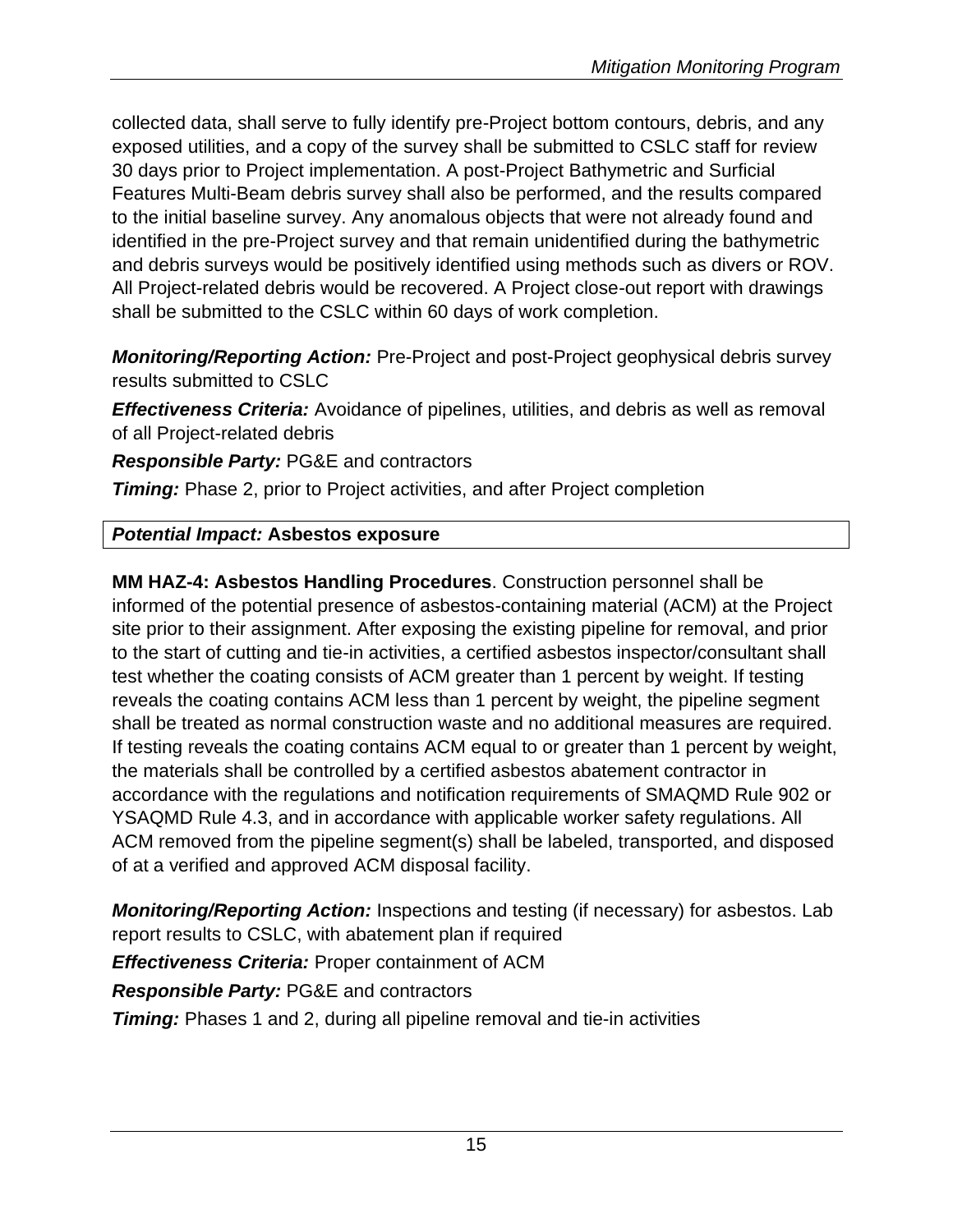collected data, shall serve to fully identify pre-Project bottom contours, debris, and any exposed utilities, and a copy of the survey shall be submitted to CSLC staff for review 30 days prior to Project implementation. A post-Project Bathymetric and Surficial Features Multi-Beam debris survey shall also be performed, and the results compared to the initial baseline survey. Any anomalous objects that were not already found and identified in the pre-Project survey and that remain unidentified during the bathymetric and debris surveys would be positively identified using methods such as divers or ROV. All Project-related debris would be recovered. A Project close-out report with drawings shall be submitted to the CSLC within 60 days of work completion.

*Monitoring/Reporting Action:* Pre-Project and post-Project geophysical debris survey results submitted to CSLC

*Effectiveness Criteria:* Avoidance of pipelines, utilities, and debris as well as removal of all Project-related debris

*Responsible Party:* PG&E and contractors

*Timing:* Phase 2, prior to Project activities, and after Project completion

# *Potential Impact:* **Asbestos exposure**

**MM HAZ-4: Asbestos Handling Procedures**. Construction personnel shall be informed of the potential presence of asbestos-containing material (ACM) at the Project site prior to their assignment. After exposing the existing pipeline for removal, and prior to the start of cutting and tie-in activities, a certified asbestos inspector/consultant shall test whether the coating consists of ACM greater than 1 percent by weight. If testing reveals the coating contains ACM less than 1 percent by weight, the pipeline segment shall be treated as normal construction waste and no additional measures are required. If testing reveals the coating contains ACM equal to or greater than 1 percent by weight, the materials shall be controlled by a certified asbestos abatement contractor in accordance with the regulations and notification requirements of SMAQMD Rule 902 or YSAQMD Rule 4.3, and in accordance with applicable worker safety regulations. All ACM removed from the pipeline segment(s) shall be labeled, transported, and disposed of at a verified and approved ACM disposal facility.

*Monitoring/Reporting Action:* Inspections and testing (if necessary) for asbestos. Lab report results to CSLC, with abatement plan if required

*Effectiveness Criteria:* Proper containment of ACM

*Responsible Party:* PG&E and contractors

**Timing:** Phases 1 and 2, during all pipeline removal and tie-in activities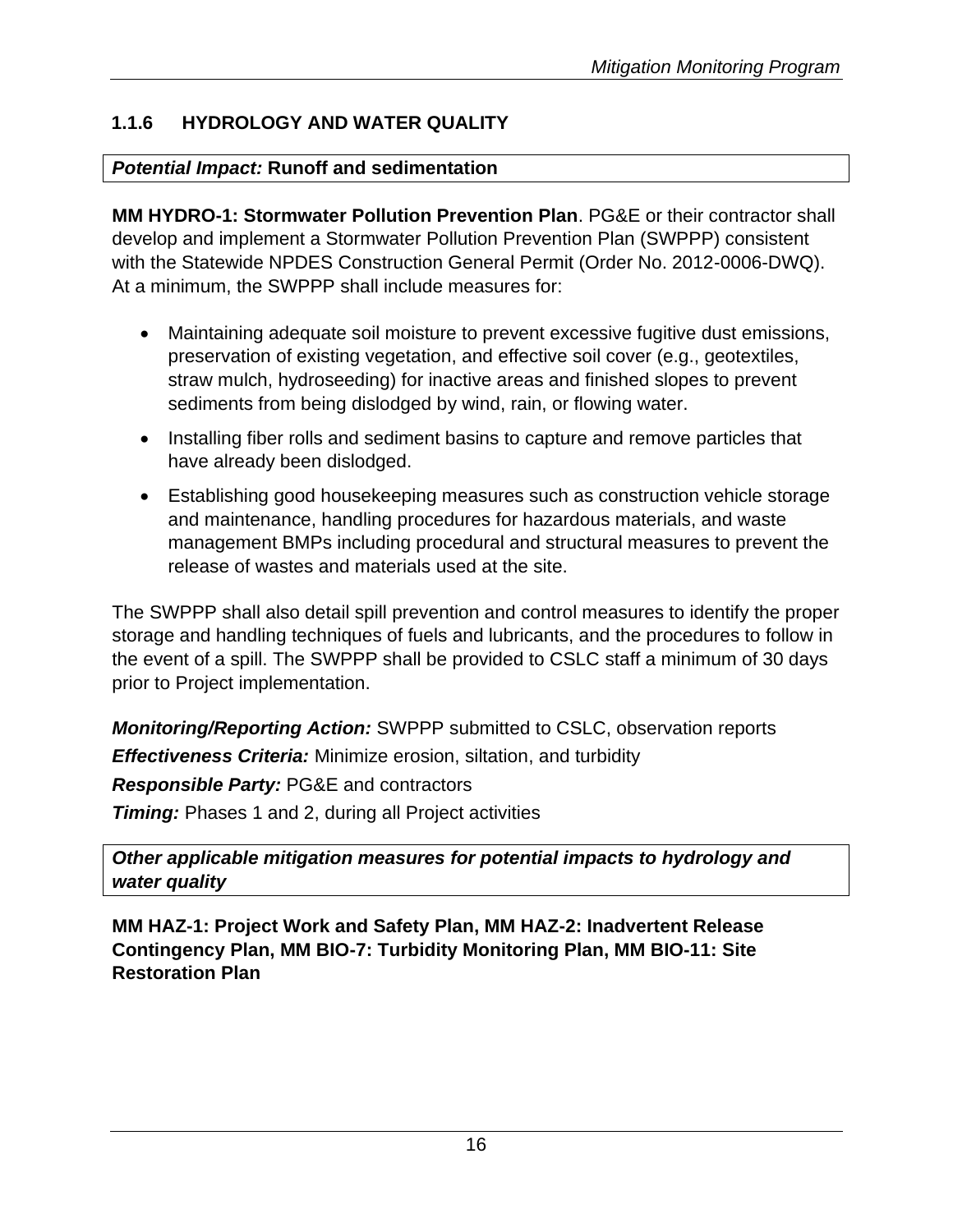# **1.1.6 HYDROLOGY AND WATER QUALITY**

# *Potential Impact:* **Runoff and sedimentation**

**MM HYDRO-1: Stormwater Pollution Prevention Plan**. PG&E or their contractor shall develop and implement a Stormwater Pollution Prevention Plan (SWPPP) consistent with the Statewide NPDES Construction General Permit (Order No. 2012-0006-DWQ). At a minimum, the SWPPP shall include measures for:

- Maintaining adequate soil moisture to prevent excessive fugitive dust emissions, preservation of existing vegetation, and effective soil cover (e.g., geotextiles, straw mulch, hydroseeding) for inactive areas and finished slopes to prevent sediments from being dislodged by wind, rain, or flowing water.
- Installing fiber rolls and sediment basins to capture and remove particles that have already been dislodged.
- Establishing good housekeeping measures such as construction vehicle storage and maintenance, handling procedures for hazardous materials, and waste management BMPs including procedural and structural measures to prevent the release of wastes and materials used at the site.

The SWPPP shall also detail spill prevention and control measures to identify the proper storage and handling techniques of fuels and lubricants, and the procedures to follow in the event of a spill. The SWPPP shall be provided to CSLC staff a minimum of 30 days prior to Project implementation.

*Monitoring/Reporting Action:* SWPPP submitted to CSLC, observation reports *Effectiveness Criteria:* Minimize erosion, siltation, and turbidity *Responsible Party:* PG&E and contractors *Timing:* Phases 1 and 2, during all Project activities

*Other applicable mitigation measures for potential impacts to hydrology and water quality*

**MM HAZ-1: Project Work and Safety Plan, MM HAZ-2: Inadvertent Release Contingency Plan, MM BIO-7: Turbidity Monitoring Plan, MM BIO-11: Site Restoration Plan**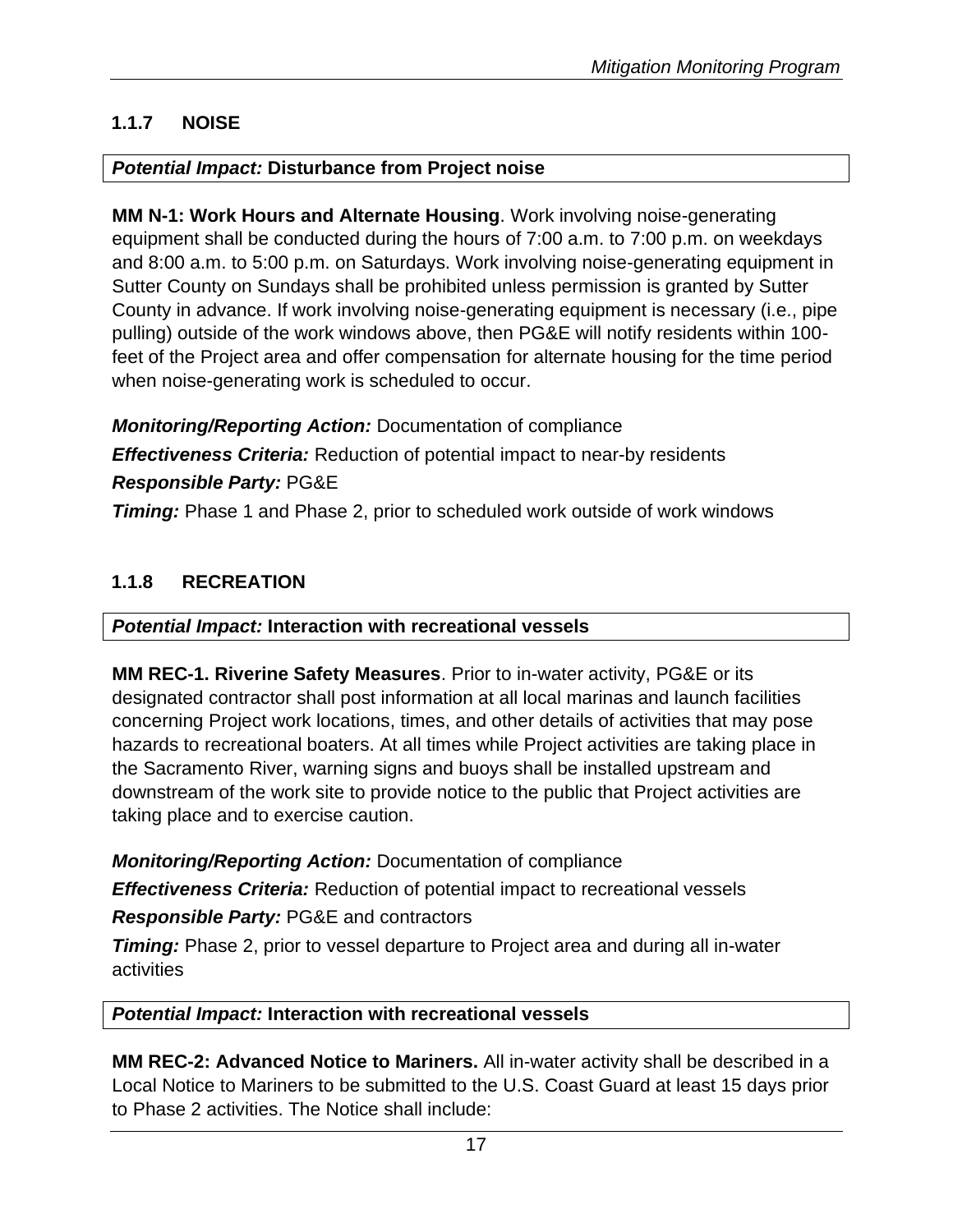# **1.1.7 NOISE**

#### *Potential Impact:* **Disturbance from Project noise**

**MM N-1: Work Hours and Alternate Housing**. Work involving noise-generating equipment shall be conducted during the hours of 7:00 a.m. to 7:00 p.m. on weekdays and 8:00 a.m. to 5:00 p.m. on Saturdays. Work involving noise-generating equipment in Sutter County on Sundays shall be prohibited unless permission is granted by Sutter County in advance. If work involving noise-generating equipment is necessary (i.e., pipe pulling) outside of the work windows above, then PG&E will notify residents within 100 feet of the Project area and offer compensation for alternate housing for the time period when noise-generating work is scheduled to occur.

*Monitoring/Reporting Action:* Documentation of compliance *Effectiveness Criteria:* Reduction of potential impact to near-by residents *Responsible Party:* PG&E

**Timing:** Phase 1 and Phase 2, prior to scheduled work outside of work windows

# **1.1.8 RECREATION**

#### *Potential Impact:* **Interaction with recreational vessels**

**MM REC-1. Riverine Safety Measures**. Prior to in-water activity, PG&E or its designated contractor shall post information at all local marinas and launch facilities concerning Project work locations, times, and other details of activities that may pose hazards to recreational boaters. At all times while Project activities are taking place in the Sacramento River, warning signs and buoys shall be installed upstream and downstream of the work site to provide notice to the public that Project activities are taking place and to exercise caution.

*Monitoring/Reporting Action:* Documentation of compliance

*Effectiveness Criteria:* Reduction of potential impact to recreational vessels

*Responsible Party:* PG&E and contractors

*Timing:* Phase 2, prior to vessel departure to Project area and during all in-water activities

#### *Potential Impact:* **Interaction with recreational vessels**

**MM REC-2: Advanced Notice to Mariners.** All in-water activity shall be described in a Local Notice to Mariners to be submitted to the U.S. Coast Guard at least 15 days prior to Phase 2 activities. The Notice shall include: